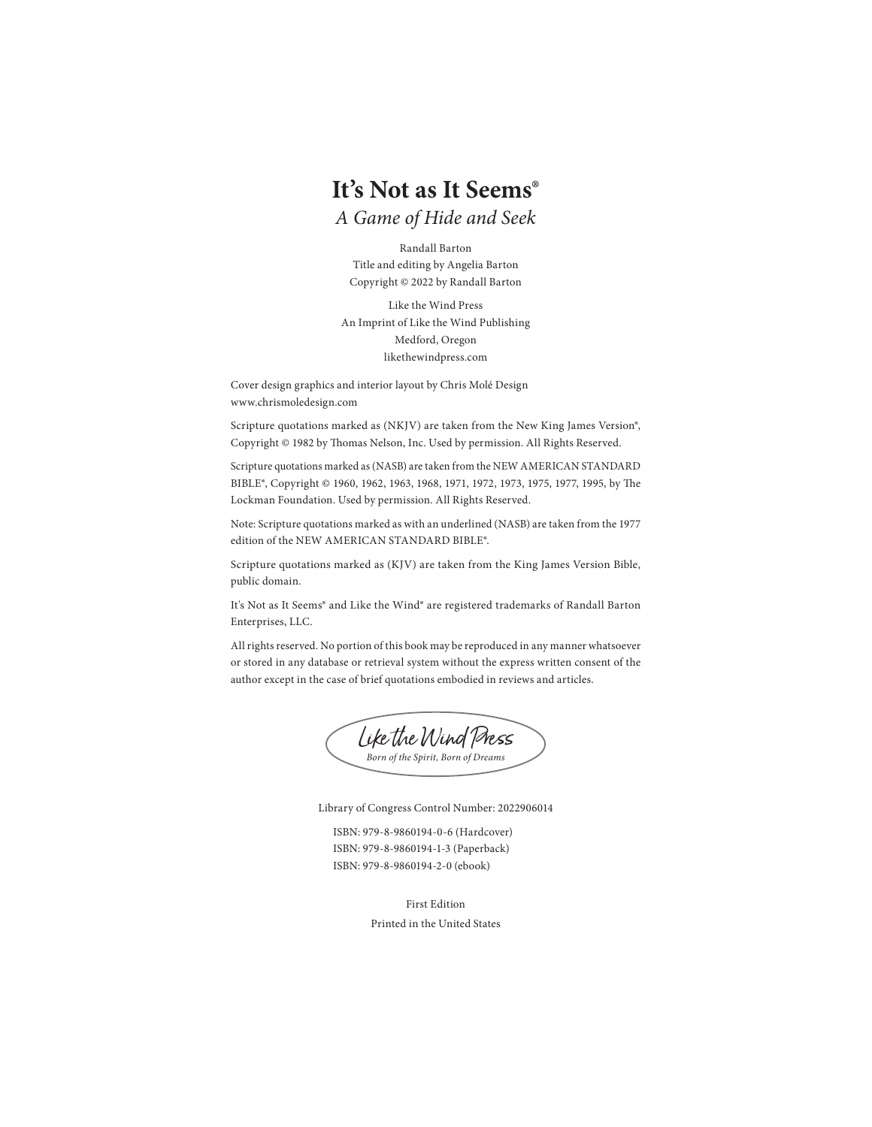# **It's Not as It Seems**®

*A Game of Hide and Seek*

Randall Barton Title and editing by Angelia Barton Copyright © 2022 by Randall Barton

Like the Wind Press An Imprint of Like the Wind Publishing Medford, Oregon likethewindpress.com

Cover design graphics and interior layout by Chris Molé Design www.chrismoledesign.com

Scripture quotations marked as (NKJV) are taken from the New King James Version®, Copyright © 1982 by Thomas Nelson, Inc. Used by permission. All Rights Reserved.

Scripture quotations marked as (NASB) are taken from the NEW AMERICAN STANDARD BIBLE®, Copyright © 1960, 1962, 1963, 1968, 1971, 1972, 1973, 1975, 1977, 1995, by The Lockman Foundation. Used by permission. All Rights Reserved.

Note: Scripture quotations marked as with an underlined (NASB) are taken from the 1977 edition of the NEW AMERICAN STANDARD BIBLE®.

Scripture quotations marked as (KJV) are taken from the King James Version Bible, public domain.

It's Not as It Seems® and Like the Wind® are registered trademarks of Randall Barton Enterprises, LLC.

All rights reserved. No portion of this book may be reproduced in any manner whatsoever or stored in any database or retrieval system without the express written consent of the author except in the case of brief quotations embodied in reviews and articles.



Library of Congress Control Number: 2022906014

ISBN: 979-8-9860194-0-6 (Hardcover) ISBN: 979-8-9860194-1-3 (Paperback) ISBN: 979-8-9860194-2-0 (ebook)

> First Edition Printed in the United States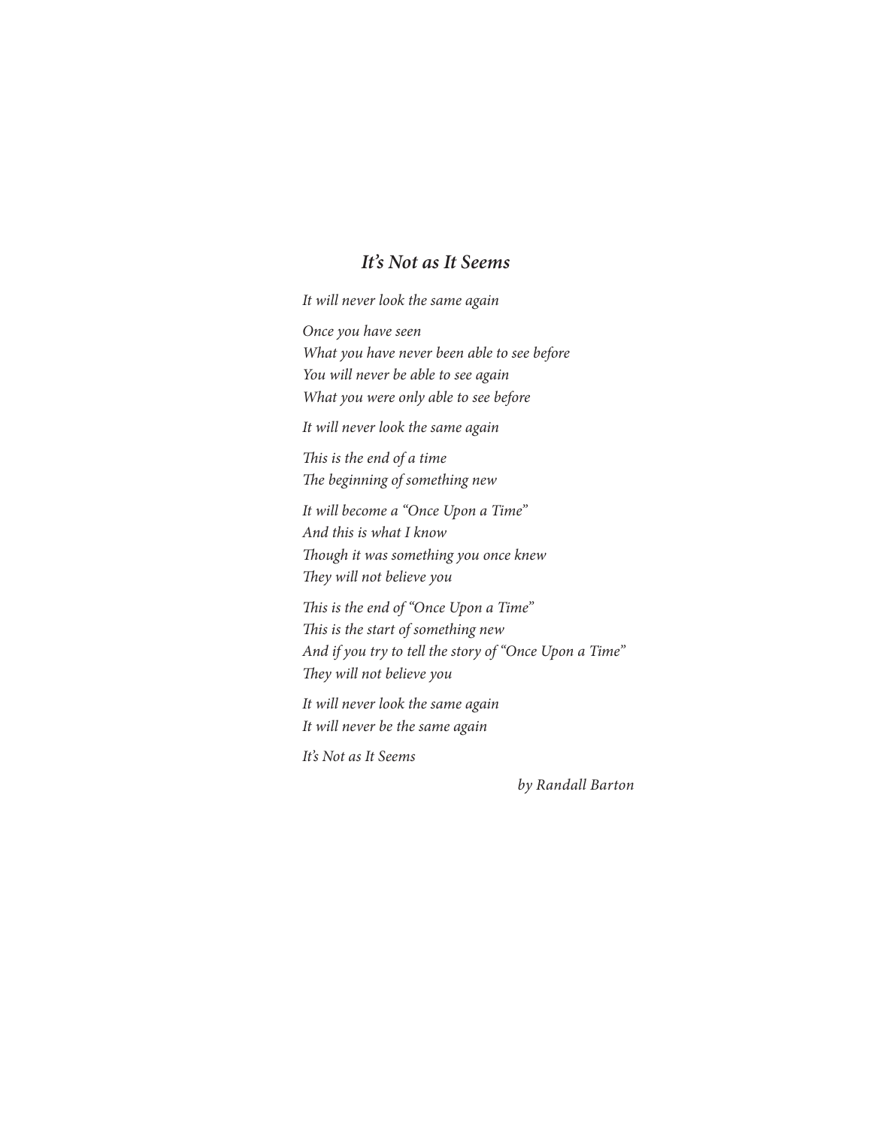### *It's Not as It Seems*

*It will never look the same again*

*Once you have seen What you have never been able to see before You will never be able to see again What you were only able to see before*

*It will never look the same again*

*Th is is the end of a time* The beginning of something new

*It will become a "Once Upon a Time" And this is what I know Th ough it was something you once knew Th ey will not believe you*

*This is the end of "Once Upon a Time" This is the start of something new And if you try to tell the story of "Once Upon a Time" Th ey will not believe you*

*It will never look the same again It will never be the same again*

*It's Not as It Seems*

*by Randall Barton*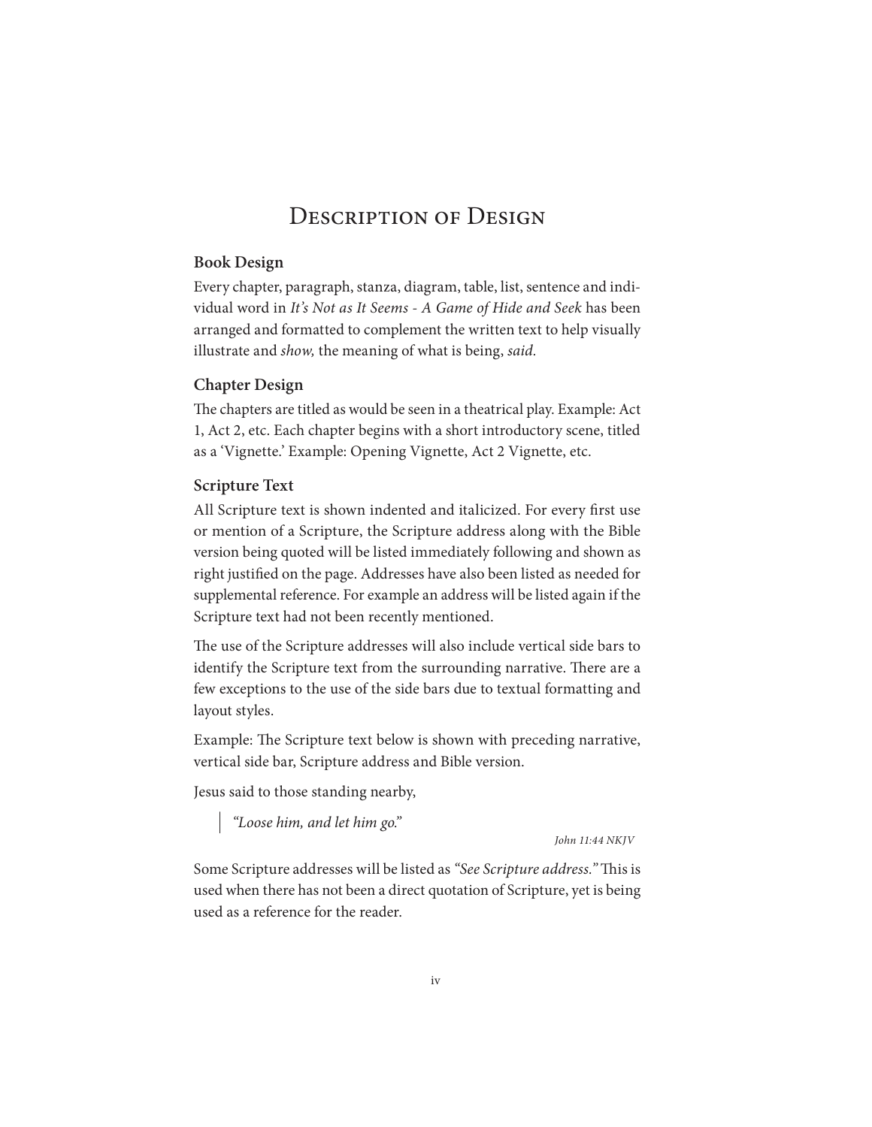## DESCRIPTION OF DESIGN

#### **Book Design**

Every chapter, paragraph, stanza, diagram, table, list, sentence and individual word in *It's Not as It Seems - A Game of Hide and Seek* has been arranged and formatted to complement the written text to help visually illustrate and *show,* the meaning of what is being, *said.*

#### **Chapter Design**

The chapters are titled as would be seen in a theatrical play. Example: Act 1, Act 2, etc. Each chapter begins with a short introductory scene, titled as a 'Vignette.' Example: Opening Vignette, Act 2 Vignette, etc.

#### **Scripture Text**

All Scripture text is shown indented and italicized. For every first use or mention of a Scripture, the Scripture address along with the Bible version being quoted will be listed immediately following and shown as right justified on the page. Addresses have also been listed as needed for supplemental reference. For example an address will be listed again if the Scripture text had not been recently mentioned.

The use of the Scripture addresses will also include vertical side bars to identify the Scripture text from the surrounding narrative. There are a few exceptions to the use of the side bars due to textual formatting and layout styles.

Example: The Scripture text below is shown with preceding narrative, vertical side bar, Scripture address and Bible version.

Jesus said to those standing nearby,

*"Loose him, and let him go."*

*John 11:44 NKJV*

Some Scripture addresses will be listed as "See Scripture address." This is used when there has not been a direct quotation of Scripture, yet is being used as a reference for the reader.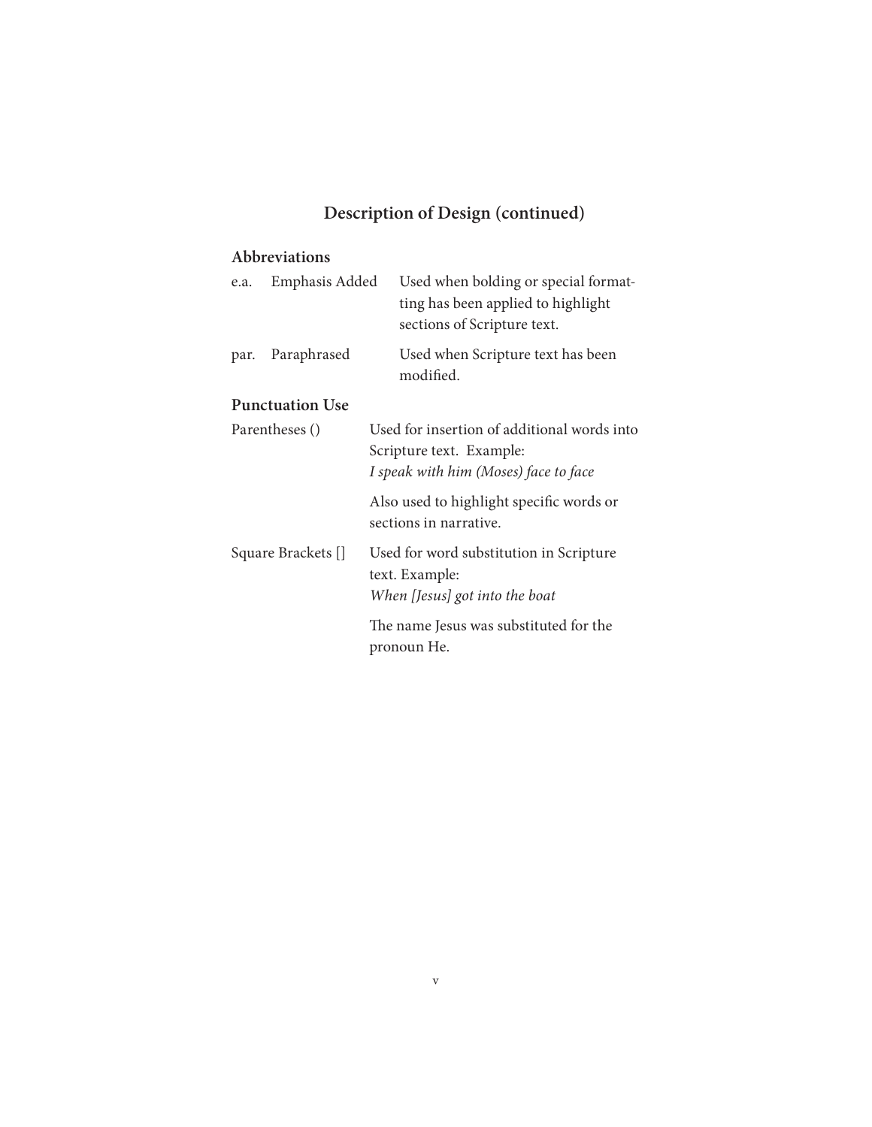# **Description of Design (continued)**

### **Abbreviations**

| e.a.               | Emphasis Added         | Used when bolding or special format-<br>ting has been applied to highlight<br>sections of Scripture text.        |
|--------------------|------------------------|------------------------------------------------------------------------------------------------------------------|
| par.               | Paraphrased            | Used when Scripture text has been<br>modified.                                                                   |
|                    | <b>Punctuation Use</b> |                                                                                                                  |
| Parentheses ()     |                        | Used for insertion of additional words into<br>Scripture text. Example:<br>I speak with him (Moses) face to face |
|                    |                        | Also used to highlight specific words or<br>sections in narrative.                                               |
| Square Brackets [] |                        | Used for word substitution in Scripture<br>text. Example:<br>When [Jesus] got into the boat                      |
|                    |                        | The name Jesus was substituted for the<br>pronoun He.                                                            |